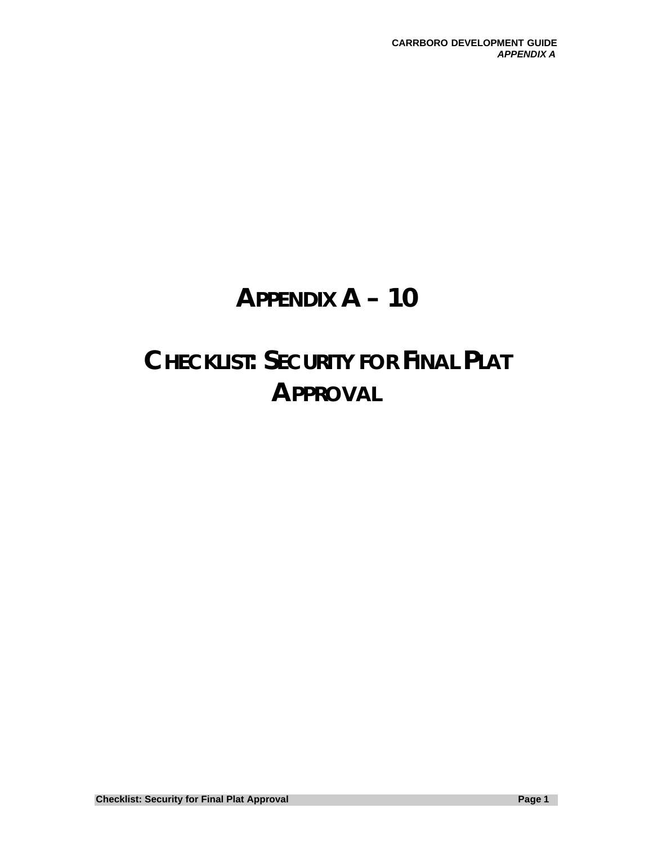## **APPENDIX A – 10**

# **CHECKLIST: SECURITY FOR FINAL PLAT APPROVAL**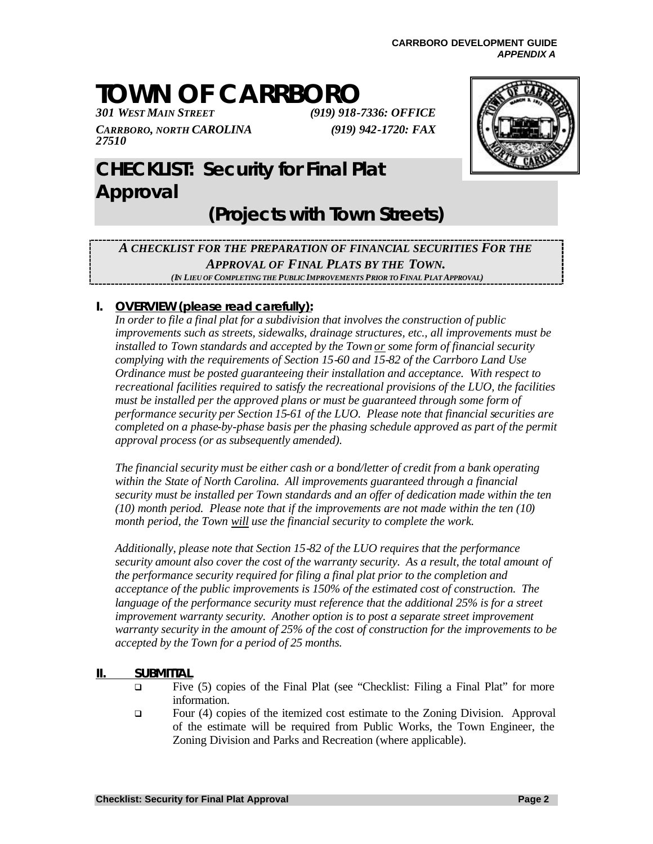# **TOWN OF CARRBORO**<br>301 WEST MAIN STREET

*CARRBORO, NORTH CAROLINA 27510*

*301 WEST MAIN STREET (919) 918-7336: OFFICE (919) 942-1720: FAX*



## **CHECKLIST: Security for Final Plat Approval**

### **(Projects with Town Streets)**

#### *A CHECKLIST FOR THE PREPARATION OF FINANCIAL SECURITIES FOR THE APPROVAL OF FINAL PLATS BY THE TOWN. (IN LIEU OF COMPLETING THE PUBLIC IMPROVEMENTS PRIOR TO FINAL PLAT APPROVAL)*

#### **I. OVERVIEW (please read carefully):**

*In order to file a final plat for a subdivision that involves the construction of public improvements such as streets, sidewalks, drainage structures, etc., all improvements must be installed to Town standards and accepted by the Town or some form of financial security complying with the requirements of Section 15-60 and 15-82 of the Carrboro Land Use Ordinance must be posted guaranteeing their installation and acceptance. With respect to recreational facilities required to satisfy the recreational provisions of the LUO, the facilities must be installed per the approved plans or must be guaranteed through some form of performance security per Section 15-61 of the LUO. Please note that financial securities are completed on a phase-by-phase basis per the phasing schedule approved as part of the permit approval process (or as subsequently amended).*

*The financial security must be either cash or a bond/letter of credit from a bank operating within the State of North Carolina. All improvements guaranteed through a financial security must be installed per Town standards and an offer of dedication made within the ten (10) month period. Please note that if the improvements are not made within the ten (10) month period, the Town will use the financial security to complete the work.*

*Additionally, please note that Section 15-82 of the LUO requires that the performance security amount also cover the cost of the warranty security. As a result, the total amount of the performance security required for filing a final plat prior to the completion and acceptance of the public improvements is 150% of the estimated cost of construction. The*  language of the performance security must reference that the additional 25% is for a street *improvement warranty security. Another option is to post a separate street improvement warranty security in the amount of 25% of the cost of construction for the improvements to be accepted by the Town for a period of 25 months.*

#### **II. SUBMITTAL**

- Five (5) copies of the Final Plat (see "Checklist: Filing a Final Plat" for more information.
- q Four (4) copies of the itemized cost estimate to the Zoning Division. Approval of the estimate will be required from Public Works, the Town Engineer, the Zoning Division and Parks and Recreation (where applicable).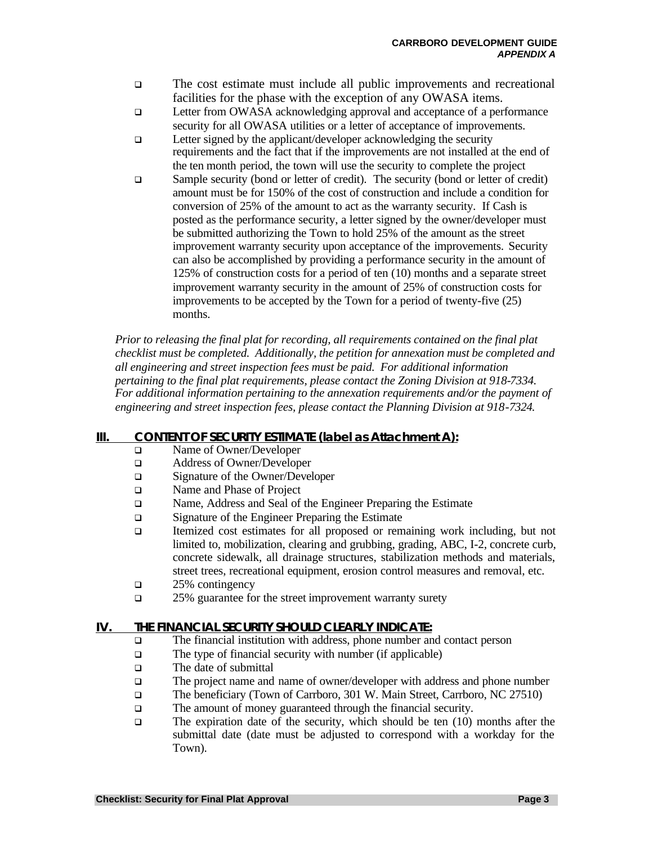- <sup>q</sup> The cost estimate must include all public improvements and recreational facilities for the phase with the exception of any OWASA items.
- **Q** Letter from OWASA acknowledging approval and acceptance of a performance security for all OWASA utilities or a letter of acceptance of improvements.
- $\Box$  Letter signed by the applicant/developer acknowledging the security requirements and the fact that if the improvements are not installed at the end of the ten month period, the town will use the security to complete the project
- q Sample security (bond or letter of credit). The security (bond or letter of credit) amount must be for 150% of the cost of construction and include a condition for conversion of 25% of the amount to act as the warranty security. If Cash is posted as the performance security, a letter signed by the owner/developer must be submitted authorizing the Town to hold 25% of the amount as the street improvement warranty security upon acceptance of the improvements.Security can also be accomplished by providing a performance security in the amount of 125% of construction costs for a period of ten (10) months and a separate street improvement warranty security in the amount of 25% of construction costs for improvements to be accepted by the Town for a period of twenty-five (25) months.

*Prior to releasing the final plat for recording, all requirements contained on the final plat checklist must be completed. Additionally, the petition for annexation must be completed and all engineering and street inspection fees must be paid. For additional information pertaining to the final plat requirements, please contact the Zoning Division at 918-7334. For additional information pertaining to the annexation requirements and/or the payment of engineering and street inspection fees, please contact the Planning Division at 918-7324.*

#### **III. CONTENT OF SECURITY ESTIMATE (label as Attachment A):**

- **q** Name of Owner/Developer
- □ Address of Owner/Developer
- □ Signature of the Owner/Developer
- □ Name and Phase of Project
- **Q** Name, Address and Seal of the Engineer Preparing the Estimate
- **q** Signature of the Engineer Preparing the Estimate
- q Itemized cost estimates for all proposed or remaining work including, but not limited to, mobilization, clearing and grubbing, grading, ABC, I-2, concrete curb, concrete sidewalk, all drainage structures, stabilization methods and materials, street trees, recreational equipment, erosion control measures and removal, etc.
- $\Box$  25% contingency
- **q** 25% guarantee for the street improvement warranty surety

#### **IV. THE FINANCIAL SECURITY SHOULD CLEARLY INDICATE:**

- q The financial institution with address, phone number and contact person
- $\Box$  The type of financial security with number (if applicable)
- $\Box$  The date of submittal
- $\Box$  The project name and name of owner/developer with address and phone number
- q The beneficiary (Town of Carrboro, 301 W. Main Street, Carrboro, NC 27510)
- **q The amount of money guaranteed through the financial security.**
- $\Box$  The expiration date of the security, which should be ten (10) months after the submittal date (date must be adjusted to correspond with a workday for the Town).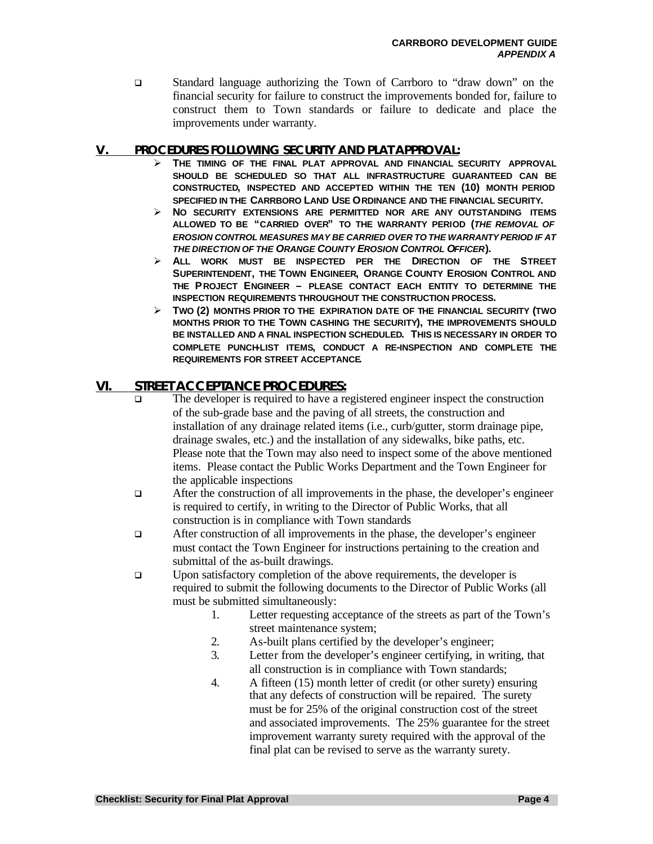□ Standard language authorizing the Town of Carrboro to "draw down" on the financial security for failure to construct the improvements bonded for, failure to construct them to Town standards or failure to dedicate and place the improvements under warranty.

#### **V. PROCEDURES FOLLOWING SECURITY AND PLAT APPROVAL:**

- ÿ **THE TIMING OF THE FINAL PLAT APPROVAL AND FINANCIAL SECURITY APPROVAL SHOULD BE SCHEDULED SO THAT ALL INFRASTRUCTURE GUARANTEED CAN BE CONSTRUCTED, INSPECTED AND ACCEPTED WITHIN THE TEN (10) MONTH PERIOD SPECIFIED IN THE CARRBORO LAND USE ORDINANCE AND THE FINANCIAL SECURITY.**
- ÿ **NO SECURITY EXTENSIONS ARE PERMITTED NOR ARE ANY OUTSTANDING ITEMS ALLOWED TO BE "CARRIED OVER" TO THE WARRANTY PERIOD (***THE REMOVAL OF EROSION CONTROL MEASURES MAY BE CARRIED OVER TO THE WARRANTY PERIOD IF AT THE DIRECTION OF THE ORANGE COUNTY EROSION CONTROL OFFICER***).**
- ÿ **ALL WORK MUST BE INSPECTED PER THE DIRECTION OF THE STREET SUPERINTENDENT, THE TOWN ENGINEER, ORANGE COUNTY EROSION CONTROL AND THE PROJECT ENGINEER – PLEASE CONTACT EACH ENTITY TO DETERMINE THE INSPECTION REQUIREMENTS THROUGHOUT THE CONSTRUCTION PROCESS.**
- ÿ **TWO (2) MONTHS PRIOR TO THE EXPIRATION DATE OF THE FINANCIAL SECURITY (TWO MONTHS PRIOR TO THE TOWN CASHING THE SECURITY), THE IMPROVEMENTS SHOULD BE INSTALLED AND A FINAL INSPECTION SCHEDULED. THIS IS NECESSARY IN ORDER TO COMPLETE PUNCH-LIST ITEMS, CONDUCT A RE-INSPECTION AND COMPLETE THE REQUIREMENTS FOR STREET ACCEPTANCE.**

#### **VI. STREET ACCEPTANCE PROCEDURES:**

- The developer is required to have a registered engineer inspect the construction of the sub-grade base and the paving of all streets, the construction and installation of any drainage related items (i.e., curb/gutter, storm drainage pipe, drainage swales, etc.) and the installation of any sidewalks, bike paths, etc. Please note that the Town may also need to inspect some of the above mentioned items. Please contact the Public Works Department and the Town Engineer for the applicable inspections
- q After the construction of all improvements in the phase, the developer's engineer is required to certify, in writing to the Director of Public Works, that all construction is in compliance with Town standards
- $\Box$  After construction of all improvements in the phase, the developer's engineer must contact the Town Engineer for instructions pertaining to the creation and submittal of the as-built drawings.
- □ Upon satisfactory completion of the above requirements, the developer is required to submit the following documents to the Director of Public Works (all must be submitted simultaneously:
	- 1. Letter requesting acceptance of the streets as part of the Town's street maintenance system;
	- 2. As-built plans certified by the developer's engineer;
	- 3. Letter from the developer's engineer certifying, in writing, that all construction is in compliance with Town standards;
	- 4. A fifteen (15) month letter of credit (or other surety) ensuring that any defects of construction will be repaired. The surety must be for 25% of the original construction cost of the street and associated improvements. The 25% guarantee for the street improvement warranty surety required with the approval of the final plat can be revised to serve as the warranty surety.